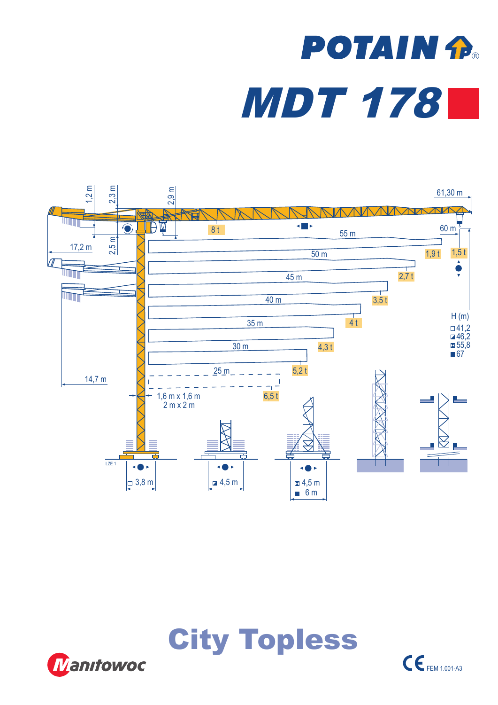## **POTAIN fl** MDT 178







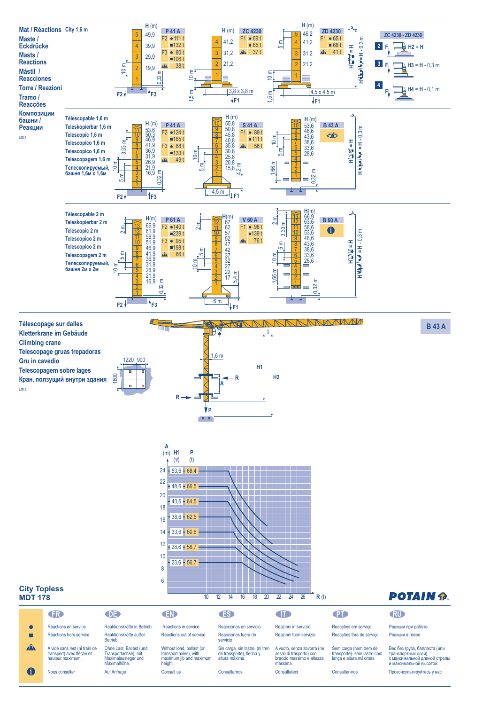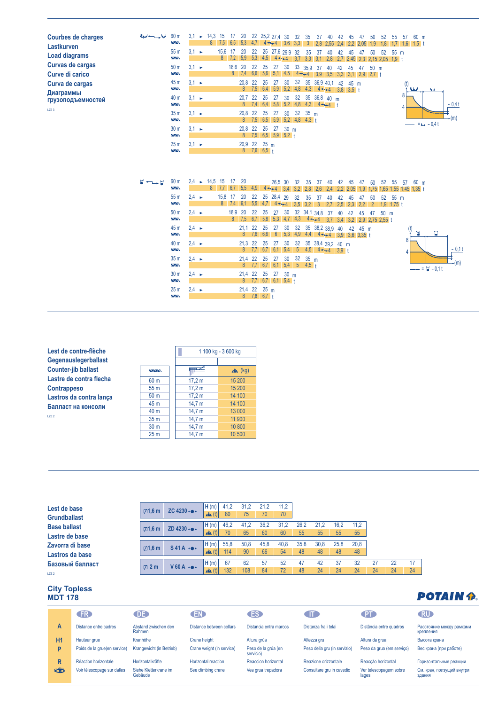| <b>Courbes de charges</b><br>Lastkurven | الملوا سنستبد لوبا                      | 60 <sub>m</sub><br>Ş                         | 3,1               | $\blacktriangleright$ | 14,3 15<br>8              | 7,5       | 17 20<br>6,5 | 5,3                 | 4.7           |           | 22 25,2 27,4 30<br>$4 - 4$ 3,6 3,3                           |                 | 32  | 35<br>$\overline{3}$ | 37<br>2,8 2,55                                                                                                          | 40        | 42<br>2,4 | 45<br>2.2                          | 47<br>2.05 | 50<br>1,9            | -52<br>1,8         | 55   | 57     | 60 m<br>$1,7$ 1,6 1,5 t       |                   |         |
|-----------------------------------------|-----------------------------------------|----------------------------------------------|-------------------|-----------------------|---------------------------|-----------|--------------|---------------------|---------------|-----------|--------------------------------------------------------------|-----------------|-----|----------------------|-------------------------------------------------------------------------------------------------------------------------|-----------|-----------|------------------------------------|------------|----------------------|--------------------|------|--------|-------------------------------|-------------------|---------|
| <b>Load diagrams</b>                    |                                         | 55 m<br>$\overline{\wedge}\wedge$            | $3.1 -$           |                       |                           | 15,6      | 17           | 20                  | 22            |           | 25 27,6 29,9 32<br>$8$ 7,2 5,9 5,3 4,5 4 $\leftrightarrow$ 4 |                 |     | 35                   | 37<br>$3,7$ $3,3$ $3,1$ $2,8$                                                                                           | 40        | 42        | 45<br>2,7 2,45 2,3 2,15 2,05 1,9 t | 47         | 50                   | 52                 | 55 m |        |                               |                   |         |
| Curvas de cargas<br>Curve di carico     |                                         | 50 <sub>m</sub><br>ΛΛ.                       | $3.1 -$           |                       |                           |           | 18,6 20      |                     | 22            | 25        | 27<br>8 7,4 6,6 5,6 5,1 4,5                                  | 30              |     | 33 35,9 37           | $4 \rightarrow 4$ 3,9 3,5 3,3 3,1 2,9 2,7 t                                                                             | 40        | 42        | 45                                 | 47         | 50 m                 |                    |      |        |                               |                   |         |
| Curva de cargas                         |                                         | 45 m<br>ΛΛ.                                  | $3.1 -$           |                       |                           |           |              | 20,8 22             |               | 25        | 27                                                           | 30              |     |                      | 32 35 36,9 40,1 42 45 m<br>$8$ 7,5 6,4 5,9 5,2 4,8 4,3 4 $\leftrightarrow$ 4 3,8 3,5 t                                  |           |           |                                    |            |                      |                    |      | (t)    | أعطانا                        | أفنا              |         |
| Диаграммы<br>грузоподъемностей          |                                         | 40 <sub>m</sub><br>ΛΛ.                       | $3,1 \rightarrow$ |                       |                           |           |              | 20,7 22             |               | 25        | 27                                                           | 30              |     |                      | 32 35 36,8 40 m<br>8 7,4 6,4 5,8 5,2 4,8 4,3 4                                                                          |           |           |                                    |            |                      |                    |      | 8      |                               |                   | $-0.4t$ |
| LZE <sub>3</sub>                        |                                         | 35 <sub>m</sub><br>$\overline{\wedge}\wedge$ | $3.1 \rightarrow$ |                       |                           |           |              | 20,8 22             |               | 25        | 27<br>8 7,5 6,5 5,9 5,2 4,8 4,3 t                            | 30 <sup>°</sup> | 32  | 35 <sub>m</sub>      |                                                                                                                         |           |           |                                    |            |                      |                    |      |        |                               |                   | -(m)    |
|                                         |                                         | 30 <sub>m</sub><br><b>AA</b>                 | $3.1 -$           |                       |                           |           |              |                     |               |           | 20,8 22 25 27 30 m<br>8 7,5 6,5 5,9 5,2 t                    |                 |     |                      |                                                                                                                         |           |           |                                    |            |                      |                    |      |        |                               | $-- = 64 - 0.4t$  |         |
|                                         |                                         | 25 <sub>m</sub><br>$\overline{N}$            | $3.1 \rightarrow$ |                       |                           |           |              | 20,9 22 25 m        | $8$ 7,6 6,5 t |           |                                                              |                 |     |                      |                                                                                                                         |           |           |                                    |            |                      |                    |      |        |                               |                   |         |
|                                         |                                         |                                              |                   |                       |                           |           |              |                     |               |           |                                                              |                 |     |                      |                                                                                                                         |           |           |                                    |            |                      |                    |      |        |                               |                   |         |
|                                         | $\overline{u} \leftarrow \rightarrow u$ | 60 <sub>m</sub><br>Ş                         |                   |                       | $2.4 \rightarrow 14.5$ 15 | 8 7,7 6,7 | 17           | - 20<br>5,5         | 4.9           |           | 26.5 30<br>$4 - 4$ 3.4 3.2                                   |                 | 32  | 35<br>2,8            | -37<br>2,6                                                                                                              | 40<br>2.4 | 42<br>2.2 | 45<br>2.05                         | 47<br>1.9  | 50<br>1.75           | 52                 | 55   | 57     | 60 m<br>1,65 1,55 1,45 1,35 t |                   |         |
|                                         |                                         | 55 <sub>m</sub><br>$\Delta \Delta$           | $2.4 \rightarrow$ |                       |                           | 15,8 17   |              | 20<br>8 7,4 6,1 5,5 | 22            |           | 25 28,4 29<br>$4,7$ 4 $+4$                                   |                 | 32  | 35<br>$3.5$ 3.2      | 37<br>$\overline{3}$                                                                                                    | 40<br>2.7 | 42<br>2.5 | 45<br>2,3                          | 47<br>2,2  | 50<br>$\overline{2}$ | 52<br>$1.9$ 1,75 t | 55 m |        |                               |                   |         |
|                                         |                                         | 50 <sub>m</sub><br>ΛΛ.                       | $2.4 \rightarrow$ |                       |                           |           | 18,9 20      | $8 \mid 7.5$        | 22<br>6,7     | 25<br>5,8 | 27<br>$5,3$ 4,7                                              | 30              | 4,3 |                      | 32 34,1 34.8<br>$4 + 4$ 3.7 3.4 3.2 2.9 2.75 2.55 t                                                                     | 37        | 40        | 42                                 | 45         | -47                  | 50 m               |      |        |                               |                   |         |
|                                         |                                         | 45 m<br>ΛΛ.                                  | $2.4 \rightarrow$ |                       |                           |           |              | 21,1<br>8           | 22<br>7,6     | 25<br>6,6 | 27<br>$6\overline{6}$                                        | 30              | 32  |                      | 35 38,2 38,9 40 42 45 m<br>$\vert 5,3 \vert 4,9 \vert 4,4 \vert 4 \rightarrow 4 \vert 3,9 \vert 3,6 \vert 3,35 \vert 1$ |           |           |                                    |            |                      |                    |      | (t)    | $\overline{\mathbf{w}}$       | П                 |         |
|                                         |                                         | 40 m<br>$\overline{\wedge}\wedge$            | $2,4 \rightarrow$ |                       |                           |           |              | 21,3 22             |               | 25        | 27                                                           | 30              |     |                      | 32 35 38,4 39,2 40 m<br>$8$ 7,7 6,7 6,1 5,4 5 4,5 4 $\leftrightarrow$ 3,9 t                                             |           |           |                                    |            |                      |                    |      | 8<br>4 |                               |                   | $-0.1t$ |
|                                         |                                         | 35 <sub>m</sub><br>$\overline{\wedge}$       | $2.4 \rightarrow$ |                       |                           |           |              | 21,4 22             |               | 25        | 27<br>8 7,7 6,7 6,1 5,4 5 4,5 +                              | 30              | 32  | 35 <sub>m</sub>      |                                                                                                                         |           |           |                                    |            |                      |                    |      |        |                               | $--- = 27 - 0.11$ | $-(m)$  |
|                                         |                                         | 30 <sub>m</sub><br>ΛΛ.                       | $2.4 \rightarrow$ |                       |                           |           |              | 21,4 22             |               |           | 25 27<br>$8$ 7,7 6,7 6,1 5,4 t                               | 30 <sub>m</sub> |     |                      |                                                                                                                         |           |           |                                    |            |                      |                    |      |        |                               |                   |         |
|                                         |                                         | 25 <sub>m</sub><br>$\Delta \Delta$           | $2.4 \rightarrow$ |                       |                           |           |              | 21,4 22 25 m        | $8$ 7,8 6,7 t |           |                                                              |                 |     |                      |                                                                                                                         |           |           |                                    |            |                      |                    |      |        |                               |                   |         |

| Lest de contre-flèche      |
|----------------------------|
| Gegenauslegerballast       |
| <b>Counter-jib ballast</b> |
| Lastre de contra flecha    |
| <b>Contrappeso</b>         |
| Lastros da contra lança    |
| Балласт на консоли         |
| 17F <sub>2</sub>           |

| Lest de contre-flèche      |                 | 1 100 kg - 3 600 kg |            |  |  |  |  |
|----------------------------|-----------------|---------------------|------------|--|--|--|--|
| Gegenauslegerballast       |                 |                     |            |  |  |  |  |
| <b>Counter-jib ballast</b> | <b>AVVN</b>     |                     | $x^2$ (kg) |  |  |  |  |
| Lastre de contra flecha    | 60 <sub>m</sub> | 17.2 m              | 15 200     |  |  |  |  |
| <b>Contrappeso</b>         | 55 m            | 17.2 m              | 15 200     |  |  |  |  |
| Lastros da contra lança    | 50 <sub>m</sub> | 17.2 m              | 14 100     |  |  |  |  |
| Балласт на консоли         | 45 m            | 14.7 $m$            | 14 100     |  |  |  |  |
|                            | 40 <sub>m</sub> | 14,7 $m$            | 13 000     |  |  |  |  |
| LZE <sub>2</sub>           | 35 <sub>m</sub> | 14.7 m              | 11 900     |  |  |  |  |
|                            | 30 <sub>m</sub> | 14,7 m              | 10 800     |  |  |  |  |
|                            | 25 <sub>m</sub> | 14.7 m              | 10 500     |  |  |  |  |

| Lest de base        | $\boxtimes$ 1,6 m | ZC 4230 - $\bullet$ -  | H(m)<br>$\mathbf{A}$ (t) | 41.2<br>80 | 31.2<br>75 | 70   | 11.2<br>70 |      |      |      |      |    |    |    |
|---------------------|-------------------|------------------------|--------------------------|------------|------------|------|------------|------|------|------|------|----|----|----|
| <b>Grundballast</b> |                   |                        |                          |            |            |      |            |      |      |      |      |    |    |    |
| <b>Base ballast</b> | $\boxtimes$ 1,6 m | ZD 4230 - $\bullet$ -  | H(m)                     | 46,2       | 41,2       | 36.2 | 31,2       | 26,2 | 21,2 | 16,2 | 11,2 |    |    |    |
| Lastre de base      |                   |                        | $\mathbf{A}$ (t)         | 70         | 65         | 60   | 60         | 55   | 55   | 55   | 55   |    |    |    |
| Zavorra di base     | $\boxtimes$ 1,6 m | $S41A \cdot \bullet$   | H(m)                     | 55,8       | 50,8       | 45.8 | 40,8       | 35,8 | 30,8 | 25.8 | 20,8 |    |    |    |
| Lastros da base     |                   |                        | $\mathbf{A}$ (t)         | 114        | 90         | 66   | 54         | 48   | 48   | 48   | 48   |    |    |    |
| Базовый балласт     | $\boxtimes$ 2 m   | $V$ 60 A $\rightarrow$ | H(m)                     | 67         | 62         | 57   | 52         | 47   | 42   | 37   | 32   | 27 | 22 | 17 |
| LZE <sub>2</sub>    |                   |                        | $\mathbf{A}$ (t)         | 132        | 108        | 84   | 72         | 48   | 24   | 24   | 24   | 24 | 24 | 24 |

## **City Topless MDT 178**

|              | <b>FR</b>                    | <b>DE</b>                        | <b>EN</b>                  | <b>ES</b>                        | CTT.                         | <b>PT</b>                       | <b>RU</b>                             |
|--------------|------------------------------|----------------------------------|----------------------------|----------------------------------|------------------------------|---------------------------------|---------------------------------------|
| $\mathsf{A}$ | Distance entre cadres        | Abstand zwischen den<br>Rahmen   | Distance between collars   | Distancia entra marcos           | Distanza fra i telai         | Distância entre quadros         | Расстояние между рамками<br>крепления |
| H1           | Hauteur grue                 | Kranhöhe                         | Crane height               | Altura grúa                      | Altezza gru                  | Altura da grua                  | Высота крана                          |
| P            | Poids de la grue(en service) | Krangewicht (in Betrieb)         | Crane weight (in service)  | Peso de la grúa (en<br>servicio) | Peso della gru (in servizio) | Peso da grua (em serviço)       | Вес крана (при работе)                |
| R.           | Réaction horizontale         | Horizontalkräfte                 | <b>Horizontal reaction</b> | Reaccion horizontal              | Reazione orizzontale         | Reaccão horizontal              | Горизонтальные реакции                |
| 卷            | Voir télescopage sur dalles  | Siehe Kletterkrane im<br>Gebäude | See climbing crane         | Vea grua trepadora               | Consultare gru in cavedio    | Ver telescopagem sobre<br>lages | См. кран, ползущий внутри<br>здания   |

## **POTAIN P.**